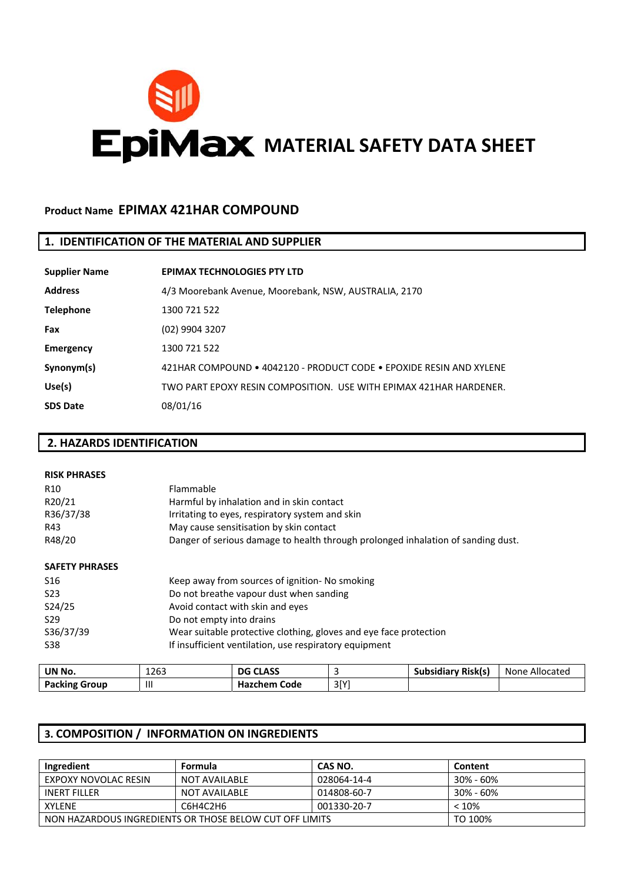

## **Product Name EPIMAX 421HAR COMPOUND**

## **1. IDENTIFICATION OF THE MATERIAL AND SUPPLIER**

| <b>Supplier Name</b> | <b>EPIMAX TECHNOLOGIES PTY LTD</b>                                  |
|----------------------|---------------------------------------------------------------------|
| <b>Address</b>       | 4/3 Moorebank Avenue, Moorebank, NSW, AUSTRALIA, 2170               |
| <b>Telephone</b>     | 1300 721 522                                                        |
| Fax                  | (02) 9904 3207                                                      |
| <b>Emergency</b>     | 1300 721 522                                                        |
| Synonym(s)           | 421HAR COMPOUND • 4042120 - PRODUCT CODE • FPOXIDE RESIN AND XYLENE |
| Use(s)               | TWO PART FPOXY RESIN COMPOSITION. USE WITH FPIMAX 421HAR HARDENER.  |
| <b>SDS Date</b>      | 08/01/16                                                            |

## **2. HAZARDS IDENTIFICATION**

| <b>TIMENIA</b>        | 12C                                            | DC CLACC                                                          | C | Cubcidian Dick(c)                                                                | <b>Nono</b> |  |
|-----------------------|------------------------------------------------|-------------------------------------------------------------------|---|----------------------------------------------------------------------------------|-------------|--|
| S38                   |                                                | If insufficient ventilation, use respiratory equipment            |   |                                                                                  |             |  |
| S36/37/39             |                                                | Wear suitable protective clothing, gloves and eye face protection |   |                                                                                  |             |  |
| S <sub>29</sub>       | Do not empty into drains                       |                                                                   |   |                                                                                  |             |  |
| S24/25                |                                                | Avoid contact with skin and eyes                                  |   |                                                                                  |             |  |
| S <sub>23</sub>       |                                                | Do not breathe vapour dust when sanding                           |   |                                                                                  |             |  |
| S16                   | Keep away from sources of ignition- No smoking |                                                                   |   |                                                                                  |             |  |
| <b>SAFETY PHRASES</b> |                                                |                                                                   |   |                                                                                  |             |  |
| R48/20                |                                                |                                                                   |   | Danger of serious damage to health through prolonged inhalation of sanding dust. |             |  |
| R43                   |                                                | May cause sensitisation by skin contact                           |   |                                                                                  |             |  |
| R36/37/38             |                                                | Irritating to eyes, respiratory system and skin                   |   |                                                                                  |             |  |
| R20/21                |                                                | Harmful by inhalation and in skin contact                         |   |                                                                                  |             |  |
| R <sub>10</sub>       | Flammable                                      |                                                                   |   |                                                                                  |             |  |
| <b>RISK PHRASES</b>   |                                                |                                                                   |   |                                                                                  |             |  |
|                       |                                                |                                                                   |   |                                                                                  |             |  |

| UN No.               | 1263 | <b>DG CLASS</b>     |             | <b>Subsidiary Risk(s)</b> | Allocated<br><b>None</b> |
|----------------------|------|---------------------|-------------|---------------------------|--------------------------|
| <b>Packing Group</b> |      | <b>Hazchem Code</b> | 2IV1<br>-၁၊ |                           |                          |
|                      |      |                     |             |                           |                          |

## **3. COMPOSITION / INFORMATION ON INGREDIENTS**

| Ingredient                                                         | Formula       | CAS NO.     | Content       |  |  |
|--------------------------------------------------------------------|---------------|-------------|---------------|--|--|
| EXPOXY NOVOLAC RESIN                                               | NOT AVAILABLE | 028064-14-4 | $30\% - 60\%$ |  |  |
| <b>INERT FILLER</b>                                                | NOT AVAILABLE | 014808-60-7 | $30\% - 60\%$ |  |  |
| <b>XYLFNF</b>                                                      | < 10%         |             |               |  |  |
| TO 100%<br>NON HAZARDOUS INGREDIENTS OR THOSE BELOW CUT OFF LIMITS |               |             |               |  |  |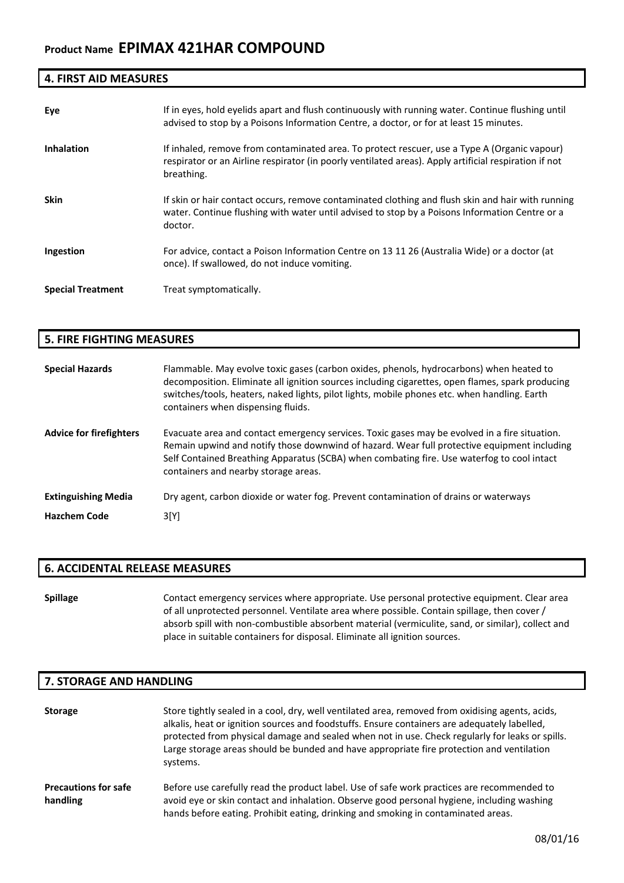# **4. FIRST AID MEASURES**

| Eye                      | If in eyes, hold eyelids apart and flush continuously with running water. Continue flushing until<br>advised to stop by a Poisons Information Centre, a doctor, or for at least 15 minutes.                         |
|--------------------------|---------------------------------------------------------------------------------------------------------------------------------------------------------------------------------------------------------------------|
| <b>Inhalation</b>        | If inhaled, remove from contaminated area. To protect rescuer, use a Type A (Organic vapour)<br>respirator or an Airline respirator (in poorly ventilated areas). Apply artificial respiration if not<br>breathing. |
| <b>Skin</b>              | If skin or hair contact occurs, remove contaminated clothing and flush skin and hair with running<br>water. Continue flushing with water until advised to stop by a Poisons Information Centre or a<br>doctor.      |
| Ingestion                | For advice, contact a Poison Information Centre on 13 11 26 (Australia Wide) or a doctor (at<br>once). If swallowed, do not induce vomiting.                                                                        |
| <b>Special Treatment</b> | Treat symptomatically.                                                                                                                                                                                              |

## **5. FIRE FIGHTING MEASURES**

| <b>Special Hazards</b>         | Flammable. May evolve toxic gases (carbon oxides, phenols, hydrocarbons) when heated to<br>decomposition. Eliminate all ignition sources including cigarettes, open flames, spark producing<br>switches/tools, heaters, naked lights, pilot lights, mobile phones etc. when handling. Earth<br>containers when dispensing fluids.  |
|--------------------------------|------------------------------------------------------------------------------------------------------------------------------------------------------------------------------------------------------------------------------------------------------------------------------------------------------------------------------------|
| <b>Advice for firefighters</b> | Evacuate area and contact emergency services. Toxic gases may be evolved in a fire situation.<br>Remain upwind and notify those downwind of hazard. Wear full protective equipment including<br>Self Contained Breathing Apparatus (SCBA) when combating fire. Use waterfog to cool intact<br>containers and nearby storage areas. |
| <b>Extinguishing Media</b>     | Dry agent, carbon dioxide or water fog. Prevent contamination of drains or waterways                                                                                                                                                                                                                                               |
| <b>Hazchem Code</b>            | 3[Y]                                                                                                                                                                                                                                                                                                                               |

## **6. ACCIDENTAL RELEASE MEASURES**

**Spillage** Contact emergency services where appropriate. Use personal protective equipment. Clear area of all unprotected personnel. Ventilate area where possible. Contain spillage, then cover / absorb spill with non-combustible absorbent material (vermiculite, sand, or similar), collect and place in suitable containers for disposal. Eliminate all ignition sources.

### **7. STORAGE AND HANDLING**

| <b>Storage</b>                          | Store tightly sealed in a cool, dry, well ventilated area, removed from oxidising agents, acids,<br>alkalis, heat or ignition sources and foodstuffs. Ensure containers are adequately labelled,<br>protected from physical damage and sealed when not in use. Check regularly for leaks or spills.<br>Large storage areas should be bunded and have appropriate fire protection and ventilation<br>systems. |
|-----------------------------------------|--------------------------------------------------------------------------------------------------------------------------------------------------------------------------------------------------------------------------------------------------------------------------------------------------------------------------------------------------------------------------------------------------------------|
| <b>Precautions for safe</b><br>handling | Before use carefully read the product label. Use of safe work practices are recommended to<br>avoid eye or skin contact and inhalation. Observe good personal hygiene, including washing<br>hands before eating. Prohibit eating, drinking and smoking in contaminated areas.                                                                                                                                |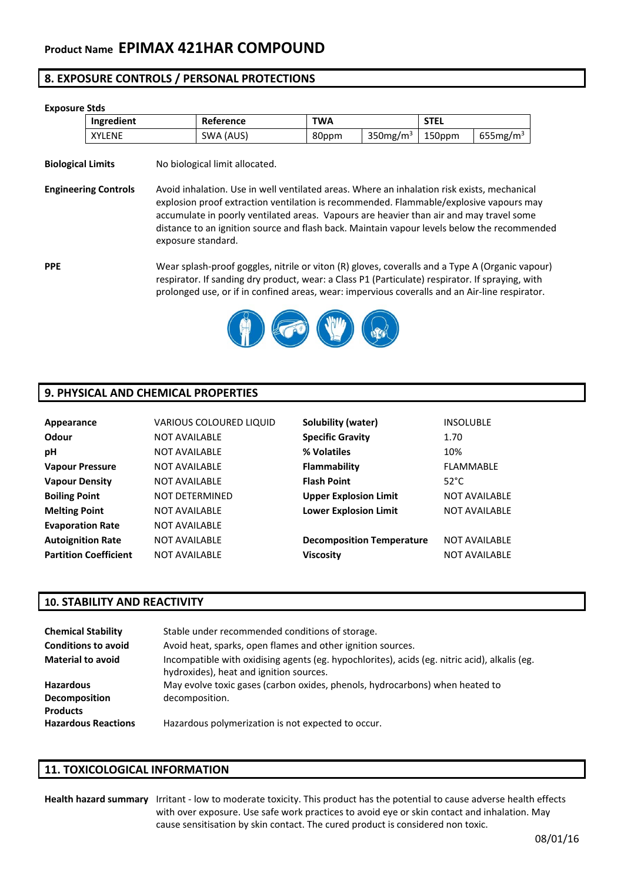## **8. EXPOSURE CONTROLS / PERSONAL PROTECTIONS**

# **Exposure Stds Ingredient Reference TWA** STEL  $XYLENE$   $\vert$  SWA (AUS) 80ppm 350mg/m<sup>3</sup> 150ppm 655mg/m<sup>3</sup> **Biological Limits** No biological limit allocated. **Engineering Controls** Avoid inhalation. Use in well ventilated areas. Where an inhalation risk exists, mechanical explosion proof extraction ventilation is recommended. Flammable/explosive vapours may accumulate in poorly ventilated areas. Vapours are heavier than air and may travel some distance to an ignition source and flash back. Maintain vapour levels below the recommended exposure standard. **PPE** Wear splash-proof goggles, nitrile or viton (R) gloves, coveralls and a Type A (Organic vapour) respirator. If sanding dry product, wear: a Class P1 (Particulate) respirator. If spraying, with prolonged use, or if in confined areas, wear: impervious coveralls and an Air‐line respirator.



## **9. PHYSICAL AND CHEMICAL PROPERTIES**

| Appearance                   | <b>VARIOUS COLOURED LIQUID</b> | Solubility (water)               | <b>INSOLUBLE</b>     |
|------------------------------|--------------------------------|----------------------------------|----------------------|
| <b>Odour</b>                 | <b>NOT AVAILABLE</b>           | <b>Specific Gravity</b>          | 1.70                 |
| рH                           | <b>NOT AVAILABLE</b>           | % Volatiles                      | 10%                  |
| <b>Vapour Pressure</b>       | <b>NOT AVAILABLE</b>           | <b>Flammability</b>              | <b>FLAMMABLE</b>     |
| <b>Vapour Density</b>        | <b>NOT AVAILABLE</b>           | <b>Flash Point</b>               | $52^{\circ}$ C       |
| <b>Boiling Point</b>         | <b>NOT DETERMINED</b>          | <b>Upper Explosion Limit</b>     | <b>NOT AVAILABLE</b> |
| <b>Melting Point</b>         | <b>NOT AVAILABLE</b>           | <b>Lower Explosion Limit</b>     | <b>NOT AVAILABLE</b> |
| <b>Evaporation Rate</b>      | <b>NOT AVAILABLE</b>           |                                  |                      |
| <b>Autoignition Rate</b>     | <b>NOT AVAILABLE</b>           | <b>Decomposition Temperature</b> | <b>NOT AVAILABLE</b> |
| <b>Partition Coefficient</b> | <b>NOT AVAILABLE</b>           | <b>Viscosity</b>                 | <b>NOT AVAILABLE</b> |

## **10. STABILITY AND REACTIVITY**

| <b>Chemical Stability</b>                            | Stable under recommended conditions of storage.                                                                                          |
|------------------------------------------------------|------------------------------------------------------------------------------------------------------------------------------------------|
| <b>Conditions to avoid</b>                           | Avoid heat, sparks, open flames and other ignition sources.                                                                              |
| <b>Material to avoid</b>                             | Incompatible with oxidising agents (eg. hypochlorites), acids (eg. nitric acid), alkalis (eg.<br>hydroxides), heat and ignition sources. |
| <b>Hazardous</b><br>Decomposition<br><b>Products</b> | May evolve toxic gases (carbon oxides, phenols, hydrocarbons) when heated to<br>decomposition.                                           |
| <b>Hazardous Reactions</b>                           | Hazardous polymerization is not expected to occur.                                                                                       |

## **11. TOXICOLOGICAL INFORMATION**

**Health hazard summary** Irritant ‐ low to moderate toxicity. This product has the potential to cause adverse health effects with over exposure. Use safe work practices to avoid eye or skin contact and inhalation. May cause sensitisation by skin contact. The cured product is considered non toxic.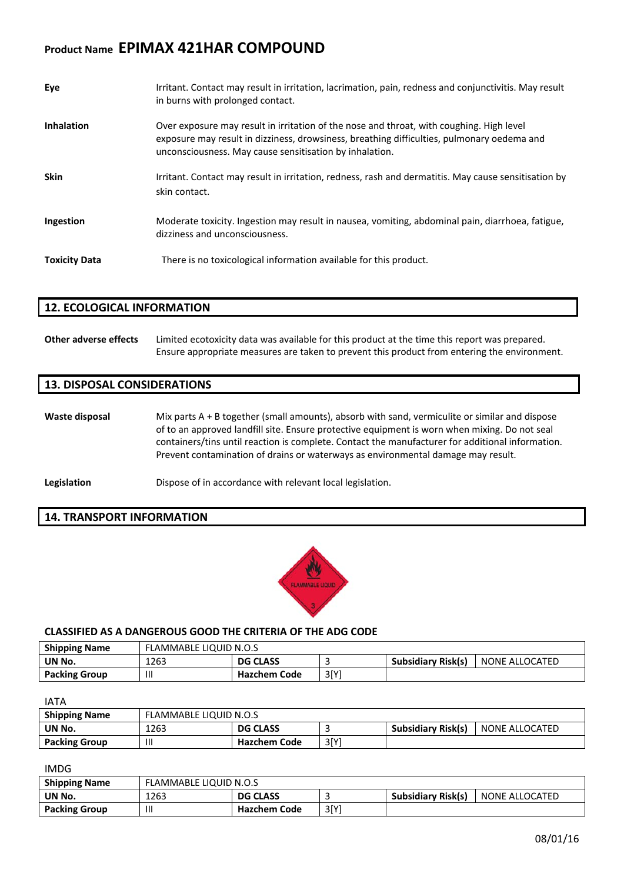# **Product Name EPIMAX 421HAR COMPOUND**

| Eye                  | Irritant. Contact may result in irritation, lacrimation, pain, redness and conjunctivitis. May result<br>in burns with prolonged contact.                                                                                                         |
|----------------------|---------------------------------------------------------------------------------------------------------------------------------------------------------------------------------------------------------------------------------------------------|
| <b>Inhalation</b>    | Over exposure may result in irritation of the nose and throat, with coughing. High level<br>exposure may result in dizziness, drowsiness, breathing difficulties, pulmonary oedema and<br>unconsciousness. May cause sensitisation by inhalation. |
| <b>Skin</b>          | Irritant. Contact may result in irritation, redness, rash and dermatitis. May cause sensitisation by<br>skin contact.                                                                                                                             |
| Ingestion            | Moderate toxicity. Ingestion may result in nausea, vomiting, abdominal pain, diarrhoea, fatigue,<br>dizziness and unconsciousness.                                                                                                                |
| <b>Toxicity Data</b> | There is no toxicological information available for this product.                                                                                                                                                                                 |

## **12. ECOLOGICAL INFORMATION**

**Other adverse effects** Limited ecotoxicity data was available for this product at the time this report was prepared. Ensure appropriate measures are taken to prevent this product from entering the environment.

### **13. DISPOSAL CONSIDERATIONS**

**Waste disposal** Mix parts A + B together (small amounts), absorb with sand, vermiculite or similar and dispose of to an approved landfill site. Ensure protective equipment is worn when mixing. Do not seal containers/tins until reaction is complete. Contact the manufacturer for additional information. Prevent contamination of drains or waterways as environmental damage may result.

**Legislation Dispose of in accordance with relevant local legislation.** 

#### **14. TRANSPORT INFORMATION**



#### **CLASSIFIED AS A DANGEROUS GOOD THE CRITERIA OF THE ADG CODE**

| <b>Shipping Name</b> | FLAMMABLE LIQUID N.O.S |                     |     |                           |                       |
|----------------------|------------------------|---------------------|-----|---------------------------|-----------------------|
| UN No.               | 1263                   | <b>DG CLASS</b>     |     | <b>Subsidiary Risk(s)</b> | <b>NONE ALLOCATED</b> |
| <b>Packing Group</b> |                        | <b>Hazchem Code</b> | 3IY |                           |                       |

IATA

| <b>Shipping Name</b> | FLAMMABLE LIQUID N.O.S |                 |      |                    |                |
|----------------------|------------------------|-----------------|------|--------------------|----------------|
| UN No.               | 1263                   | <b>DG CLASS</b> |      | Subsidiary Risk(s) | NONE ALLOCATED |
| <b>Packing Group</b> | Ш                      | Hazchem Code    | 3[Y] |                    |                |

#### IMDG

| <b>Shipping Name</b> | <b>FLAMMABLE LIQUID N.O.S</b> |                     |      |                           |                |
|----------------------|-------------------------------|---------------------|------|---------------------------|----------------|
| UN No.               | 1263                          | <b>DG CLASS</b>     |      | <b>Subsidiary Risk(s)</b> | NONE ALLOCATED |
| <b>Packing Group</b> | Ш                             | <b>Hazchem Code</b> | 3[Y] |                           |                |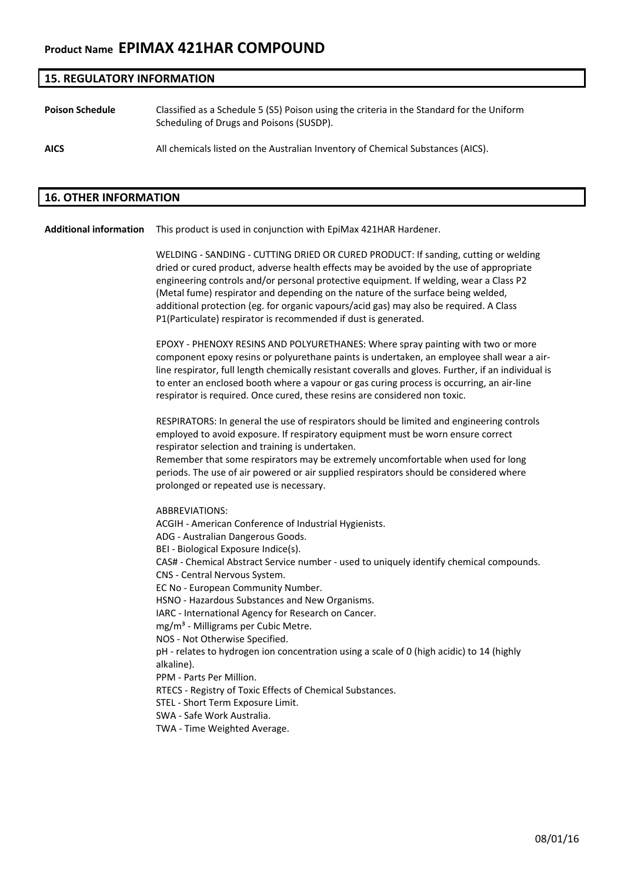# **Product Name EPIMAX 421HAR COMPOUND**

### **15. REGULATORY INFORMATION**

**Poison Schedule** Classified as a Schedule 5 (S5) Poison using the criteria in the Standard for the Uniform Scheduling of Drugs and Poisons (SUSDP).

**AICS** All chemicals listed on the Australian Inventory of Chemical Substances (AICS).

#### **16. OTHER INFORMATION**

**Additional information** This product is used in conjunction with EpiMax 421HAR Hardener.

WELDING ‐ SANDING ‐ CUTTING DRIED OR CURED PRODUCT: If sanding, cutting or welding dried or cured product, adverse health effects may be avoided by the use of appropriate engineering controls and/or personal protective equipment. If welding, wear a Class P2 (Metal fume) respirator and depending on the nature of the surface being welded, additional protection (eg. for organic vapours/acid gas) may also be required. A Class P1(Particulate) respirator is recommended if dust is generated.

EPOXY ‐ PHENOXY RESINS AND POLYURETHANES: Where spray painting with two or more component epoxy resins or polyurethane paints is undertaken, an employee shall wear a air‐ line respirator, full length chemically resistant coveralls and gloves. Further, if an individual is to enter an enclosed booth where a vapour or gas curing process is occurring, an air‐line respirator is required. Once cured, these resins are considered non toxic.

RESPIRATORS: In general the use of respirators should be limited and engineering controls employed to avoid exposure. If respiratory equipment must be worn ensure correct respirator selection and training is undertaken.

Remember that some respirators may be extremely uncomfortable when used for long periods. The use of air powered or air supplied respirators should be considered where prolonged or repeated use is necessary.

ABBREVIATIONS:

ACGIH ‐ American Conference of Industrial Hygienists.

ADG ‐ Australian Dangerous Goods.

BEI ‐ Biological Exposure Indice(s).

CAS# ‐ Chemical Abstract Service number ‐ used to uniquely identify chemical compounds. CNS ‐ Central Nervous System.

EC No ‐ European Community Number.

HSNO ‐ Hazardous Substances and New Organisms.

IARC ‐ International Agency for Research on Cancer.

mg/m<sup>3</sup> - Milligrams per Cubic Metre.

NOS ‐ Not Otherwise Specified.

pH - relates to hydrogen ion concentration using a scale of 0 (high acidic) to 14 (highly alkaline).

PPM ‐ Parts Per Million.

RTECS ‐ Registry of Toxic Effects of Chemical Substances.

STEL ‐ Short Term Exposure Limit.

SWA ‐ Safe Work Australia.

TWA ‐ Time Weighted Average.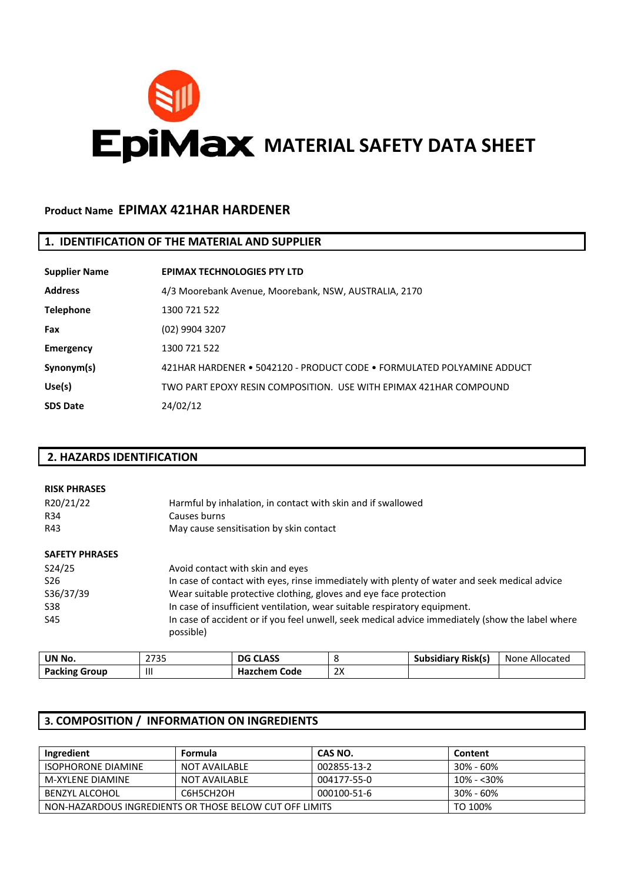

## **Product Name EPIMAX 421HAR HARDENER**

## **1. IDENTIFICATION OF THE MATERIAL AND SUPPLIER**

| <b>Supplier Name</b> | <b>EPIMAX TECHNOLOGIES PTY LTD</b>                                     |
|----------------------|------------------------------------------------------------------------|
| <b>Address</b>       | 4/3 Moorebank Avenue, Moorebank, NSW, AUSTRALIA, 2170                  |
| <b>Telephone</b>     | 1300 721 522                                                           |
| Fax                  | (02) 9904 3207                                                         |
| Emergency            | 1300 721 522                                                           |
| Synonym(s)           | 421HAR HARDENER ● 5042120 - PRODUCT CODE ● FORMULATED POLYAMINE ADDUCT |
| Use(s)               | TWO PART FPOXY RESIN COMPOSITION. USE WITH FPIMAX 421HAR COMPOUND      |
| <b>SDS Date</b>      | 24/02/12                                                               |

## **2. HAZARDS IDENTIFICATION**

| <b>RISK PHRASES</b><br>R20/21/22<br>R34<br>R43 | Harmful by inhalation, in contact with skin and if swallowed<br>Causes burns<br>May cause sensitisation by skin contact |
|------------------------------------------------|-------------------------------------------------------------------------------------------------------------------------|
| <b>SAFETY PHRASES</b>                          | Avoid contact with skin and eyes                                                                                        |
| S24/25                                         | In case of contact with eyes, rinse immediately with plenty of water and seek medical advice                            |
| S <sub>26</sub>                                | Wear suitable protective clothing, gloves and eye face protection                                                       |
| S36/37/39                                      | In case of insufficient ventilation, wear suitable respiratory equipment.                                               |
| S38                                            | In case of accident or if you feel unwell, seek medical advice immediately (show the label where                        |
| S45                                            | possible)                                                                                                               |

| UN No.               | $\mathbf{a} = \mathbf{a} + \mathbf{b}$<br>ر ر ر ے | <b>DG CLASS</b>     |          | <b>Subsidiary Risk(s)</b> | Allocated<br>None |
|----------------------|---------------------------------------------------|---------------------|----------|---------------------------|-------------------|
| <b>Packing Group</b> |                                                   | <b>Hazchem Code</b> | ำง<br>∠∧ |                           |                   |

## **3. COMPOSITION / INFORMATION ON INGREDIENTS**

| Ingredient                                                         | <b>Formula</b> | CAS NO.     | Content       |
|--------------------------------------------------------------------|----------------|-------------|---------------|
| <b>ISOPHORONE DIAMINE</b>                                          | NOT AVAILABLE  | 002855-13-2 | $30\% - 60\%$ |
| M-XYLFNF DIAMINF                                                   | NOT AVAILABLE  | 004177-55-0 | 10% - <30%    |
| BENZYL ALCOHOL                                                     | C6H5CH2OH      | 000100-51-6 | $30\% - 60\%$ |
| TO 100%<br>NON-HAZARDOUS INGREDIENTS OR THOSE BELOW CUT OFF LIMITS |                |             |               |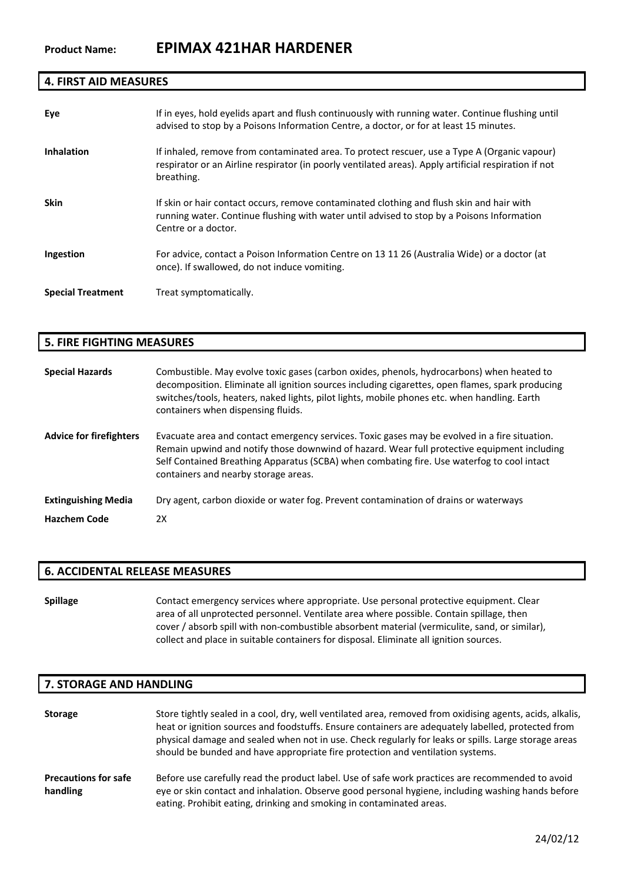## **4. FIRST AID MEASURES**

| Eye                      | If in eyes, hold eyelids apart and flush continuously with running water. Continue flushing until<br>advised to stop by a Poisons Information Centre, a doctor, or for at least 15 minutes.                         |
|--------------------------|---------------------------------------------------------------------------------------------------------------------------------------------------------------------------------------------------------------------|
| <b>Inhalation</b>        | If inhaled, remove from contaminated area. To protect rescuer, use a Type A (Organic vapour)<br>respirator or an Airline respirator (in poorly ventilated areas). Apply artificial respiration if not<br>breathing. |
| <b>Skin</b>              | If skin or hair contact occurs, remove contaminated clothing and flush skin and hair with<br>running water. Continue flushing with water until advised to stop by a Poisons Information<br>Centre or a doctor.      |
| Ingestion                | For advice, contact a Poison Information Centre on 13 11 26 (Australia Wide) or a doctor (at<br>once). If swallowed, do not induce vomiting.                                                                        |
| <b>Special Treatment</b> | Treat symptomatically.                                                                                                                                                                                              |

## **5. FIRE FIGHTING MEASURES**

| <b>Special Hazards</b>         | Combustible. May evolve toxic gases (carbon oxides, phenols, hydrocarbons) when heated to<br>decomposition. Eliminate all ignition sources including cigarettes, open flames, spark producing<br>switches/tools, heaters, naked lights, pilot lights, mobile phones etc. when handling. Earth<br>containers when dispensing fluids. |
|--------------------------------|-------------------------------------------------------------------------------------------------------------------------------------------------------------------------------------------------------------------------------------------------------------------------------------------------------------------------------------|
| <b>Advice for firefighters</b> | Evacuate area and contact emergency services. Toxic gases may be evolved in a fire situation.<br>Remain upwind and notify those downwind of hazard. Wear full protective equipment including<br>Self Contained Breathing Apparatus (SCBA) when combating fire. Use waterfog to cool intact<br>containers and nearby storage areas.  |
| <b>Extinguishing Media</b>     | Dry agent, carbon dioxide or water fog. Prevent contamination of drains or waterways                                                                                                                                                                                                                                                |
| <b>Hazchem Code</b>            | 2X                                                                                                                                                                                                                                                                                                                                  |

## **6. ACCIDENTAL RELEASE MEASURES**

**Spillage** Contact emergency services where appropriate. Use personal protective equipment. Clear area of all unprotected personnel. Ventilate area where possible. Contain spillage, then cover / absorb spill with non-combustible absorbent material (vermiculite, sand, or similar), collect and place in suitable containers for disposal. Eliminate all ignition sources.

## **7. STORAGE AND HANDLING**

| <b>Storage</b>                          | Store tightly sealed in a cool, dry, well ventilated area, removed from oxidising agents, acids, alkalis,<br>heat or ignition sources and foodstuffs. Ensure containers are adequately labelled, protected from<br>physical damage and sealed when not in use. Check regularly for leaks or spills. Large storage areas<br>should be bunded and have appropriate fire protection and ventilation systems. |
|-----------------------------------------|-----------------------------------------------------------------------------------------------------------------------------------------------------------------------------------------------------------------------------------------------------------------------------------------------------------------------------------------------------------------------------------------------------------|
| <b>Precautions for safe</b><br>handling | Before use carefully read the product label. Use of safe work practices are recommended to avoid<br>eye or skin contact and inhalation. Observe good personal hygiene, including washing hands before<br>eating. Prohibit eating, drinking and smoking in contaminated areas.                                                                                                                             |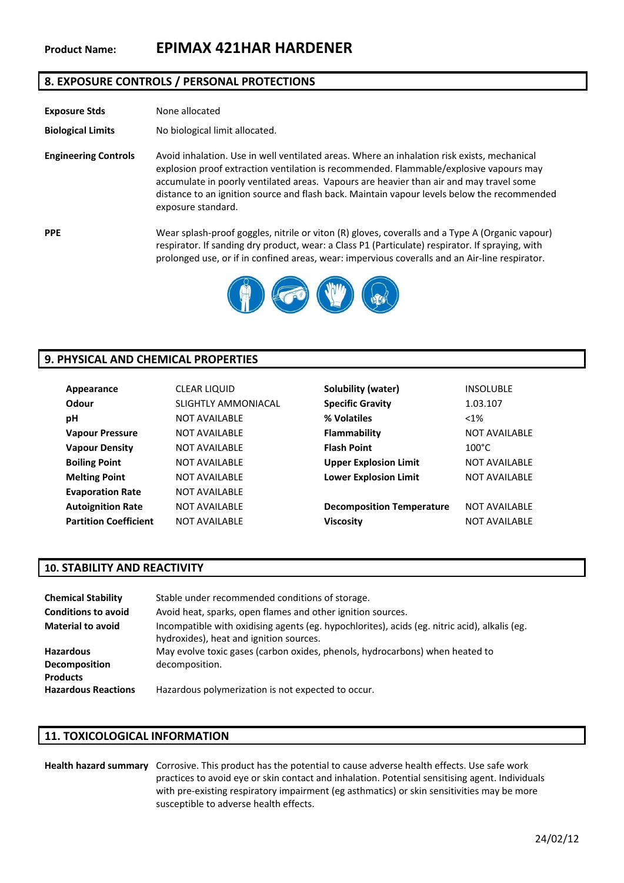## **8. EXPOSURE CONTROLS / PERSONAL PROTECTIONS**

| <b>Exposure Stds</b>        | None allocated                                                                                                                                                                                                                                                                                                                                                                                        |
|-----------------------------|-------------------------------------------------------------------------------------------------------------------------------------------------------------------------------------------------------------------------------------------------------------------------------------------------------------------------------------------------------------------------------------------------------|
| <b>Biological Limits</b>    | No biological limit allocated.                                                                                                                                                                                                                                                                                                                                                                        |
| <b>Engineering Controls</b> | Avoid inhalation. Use in well ventilated areas. Where an inhalation risk exists, mechanical<br>explosion proof extraction ventilation is recommended. Flammable/explosive vapours may<br>accumulate in poorly ventilated areas. Vapours are heavier than air and may travel some<br>distance to an ignition source and flash back. Maintain vapour levels below the recommended<br>exposure standard. |
| <b>PPE</b>                  | Wear splash-proof goggles, nitrile or viton (R) gloves, coveralls and a Type A (Organic vapour)<br>respirator. If sanding dry product, wear: a Class P1 (Particulate) respirator. If spraying, with<br>prolonged use, or if in confined areas, wear: impervious coveralls and an Air-line respirator.                                                                                                 |
|                             |                                                                                                                                                                                                                                                                                                                                                                                                       |



## **9. PHYSICAL AND CHEMICAL PROPERTIES**

| Appearance                   | <b>CLEAR LIQUID</b>  | Solubility (water)               | <b>INSOLUBLE</b>     |
|------------------------------|----------------------|----------------------------------|----------------------|
| Odour                        | SLIGHTLY AMMONIACAL  | <b>Specific Gravity</b>          | 1.03.107             |
| рH                           | <b>NOT AVAILABLE</b> | % Volatiles                      | $< 1\%$              |
| <b>Vapour Pressure</b>       | <b>NOT AVAILABLE</b> | Flammability                     | <b>NOT AVAILABLE</b> |
| <b>Vapour Density</b>        | <b>NOT AVAILABLE</b> | <b>Flash Point</b>               | $100^{\circ}$ C      |
| <b>Boiling Point</b>         | <b>NOT AVAILABLE</b> | <b>Upper Explosion Limit</b>     | <b>NOT AVAILABLE</b> |
| <b>Melting Point</b>         | NOT AVAILABLE        | <b>Lower Explosion Limit</b>     | <b>NOT AVAILABLE</b> |
| <b>Evaporation Rate</b>      | <b>NOT AVAILABLE</b> |                                  |                      |
| <b>Autoignition Rate</b>     | <b>NOT AVAILABLE</b> | <b>Decomposition Temperature</b> | <b>NOT AVAILABLE</b> |
| <b>Partition Coefficient</b> | NOT AVAILABLE        | <b>Viscosity</b>                 | <b>NOT AVAILABLE</b> |

## **10. STABILITY AND REACTIVITY**

| <b>Chemical Stability</b>  | Stable under recommended conditions of storage.                                                                                          |
|----------------------------|------------------------------------------------------------------------------------------------------------------------------------------|
| <b>Conditions to avoid</b> | Avoid heat, sparks, open flames and other ignition sources.                                                                              |
| <b>Material to avoid</b>   | Incompatible with oxidising agents (eg. hypochlorites), acids (eg. nitric acid), alkalis (eg.<br>hydroxides), heat and ignition sources. |
| <b>Hazardous</b>           | May evolve toxic gases (carbon oxides, phenols, hydrocarbons) when heated to                                                             |
| <b>Decomposition</b>       | decomposition.                                                                                                                           |
| <b>Products</b>            |                                                                                                                                          |
| <b>Hazardous Reactions</b> | Hazardous polymerization is not expected to occur.                                                                                       |

### **11. TOXICOLOGICAL INFORMATION**

### **Health hazard summary** Corrosive. This product has the potential to cause adverse health effects. Use safe work practices to avoid eye or skin contact and inhalation. Potential sensitising agent. Individuals with pre-existing respiratory impairment (eg asthmatics) or skin sensitivities may be more susceptible to adverse health effects.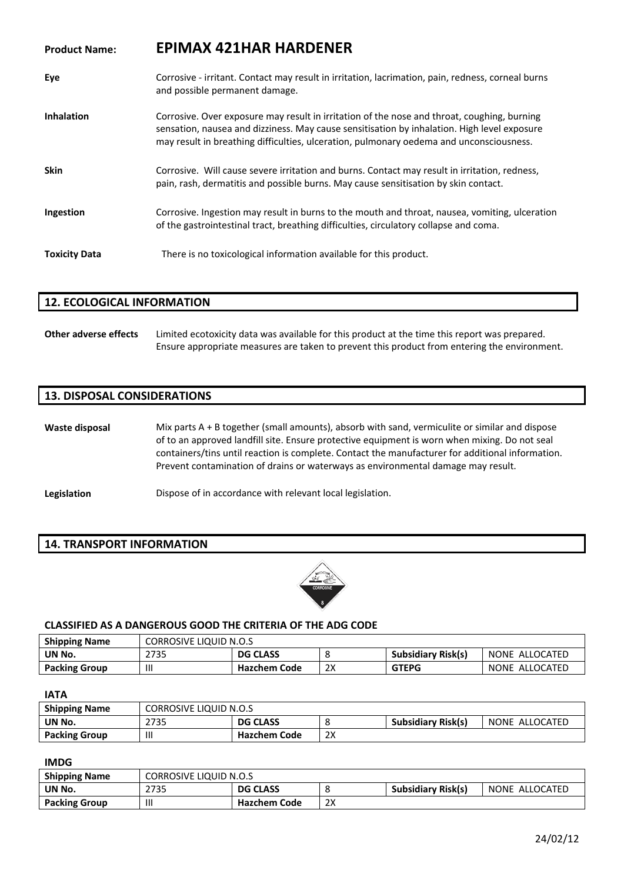# **Product Name: EPIMAX 421HAR HARDENER**

| Eye                  | Corrosive - irritant. Contact may result in irritation, lacrimation, pain, redness, corneal burns<br>and possible permanent damage.                                                                                                                                                   |
|----------------------|---------------------------------------------------------------------------------------------------------------------------------------------------------------------------------------------------------------------------------------------------------------------------------------|
| <b>Inhalation</b>    | Corrosive. Over exposure may result in irritation of the nose and throat, coughing, burning<br>sensation, nausea and dizziness. May cause sensitisation by inhalation. High level exposure<br>may result in breathing difficulties, ulceration, pulmonary oedema and unconsciousness. |
| <b>Skin</b>          | Corrosive. Will cause severe irritation and burns. Contact may result in irritation, redness,<br>pain, rash, dermatitis and possible burns. May cause sensitisation by skin contact.                                                                                                  |
| Ingestion            | Corrosive. Ingestion may result in burns to the mouth and throat, nausea, vomiting, ulceration<br>of the gastrointestinal tract, breathing difficulties, circulatory collapse and coma.                                                                                               |
| <b>Toxicity Data</b> | There is no toxicological information available for this product.                                                                                                                                                                                                                     |

### **12. ECOLOGICAL INFORMATION**

**Other adverse effects** Limited ecotoxicity data was available for this product at the time this report was prepared. Ensure appropriate measures are taken to prevent this product from entering the environment.

## **13. DISPOSAL CONSIDERATIONS**

**Waste disposal** Mix parts A + B together (small amounts), absorb with sand, vermiculite or similar and dispose of to an approved landfill site. Ensure protective equipment is worn when mixing. Do not seal containers/tins until reaction is complete. Contact the manufacturer for additional information. Prevent contamination of drains or waterways as environmental damage may result.

**Legislation Dispose of in accordance with relevant local legislation.** 

### **14. TRANSPORT INFORMATION**



### **CLASSIFIED AS A DANGEROUS GOOD THE CRITERIA OF THE ADG CODE**

| <b>Shipping Name</b> | <b>CORROSIVE LIQUID N.O.S</b> |                     |          |                           |                |
|----------------------|-------------------------------|---------------------|----------|---------------------------|----------------|
| UN No.               | 2735                          | <b>DG CLASS</b>     |          | <b>Subsidiary Risk(s)</b> | NONE ALLOCATED |
| <b>Packing Group</b> |                               | <b>Hazchem Code</b> | วง<br>∠∧ | <b>GTEPG</b>              | NONE ALLOCATED |

**IATA**

| <b>Shipping Name</b> | <b>CORROSIVE LIQUID N.O.S</b> |                 |    |                           |                |
|----------------------|-------------------------------|-----------------|----|---------------------------|----------------|
| UN No.               | 2735                          | <b>DG CLASS</b> |    | <b>Subsidiary Risk(s)</b> | NONE ALLOCATED |
| <b>Packing Group</b> | $\mathbf{  }$                 | Hazchem Code    | 2X |                           |                |

#### **IMDG**

| <b>Shipping Name</b> | <b>CORROSIVE LIQUID N.O.S</b> |                     |    |                           |                |
|----------------------|-------------------------------|---------------------|----|---------------------------|----------------|
| UN No.               | 2735                          | <b>DG CLASS</b>     |    | <b>Subsidiary Risk(s)</b> | NONE ALLOCATED |
| <b>Packing Group</b> |                               | <b>Hazchem Code</b> | 2X |                           |                |